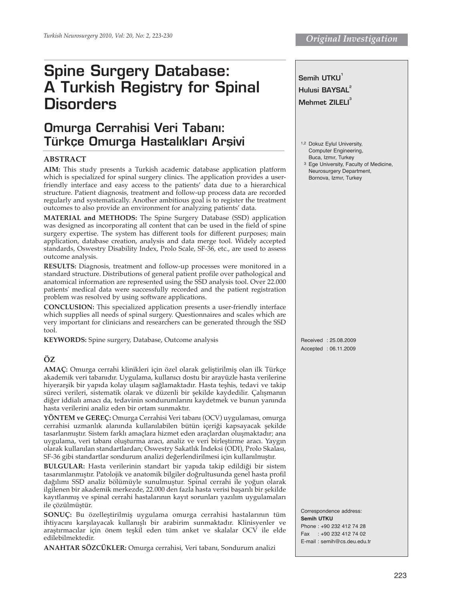# **Spine Surgery Database: A Turkish Registry for Spinal Disorders**

# **Omurga Cerrahisi Veri Taban›: Türkçe Omurga Hastalıkları Arşivi**

## **ABSTRACT**

**AIM:** This study presents a Turkish academic database application platform which is specialized for spinal surgery clinics. The application provides a userfriendly interface and easy access to the patients' data due to a hierarchical structure. Patient diagnosis, treatment and follow-up process data are recorded regularly and systematically. Another ambitious goal is to register the treatment outcomes to also provide an environment for analyzing patients' data.

**MATERIAL and METHODS:** The Spine Surgery Database (SSD) application was designed as incorporating all content that can be used in the field of spine surgery expertise. The system has different tools for different purposes; main application, database creation, analysis and data merge tool. Widely accepted standards, Oswestry Disability Index, Prolo Scale, SF-36, etc., are used to assess outcome analysis.

**RESULTS:** Diagnosis, treatment and follow-up processes were monitored in a standard structure. Distributions of general patient profile over pathological and anatomical information are represented using the SSD analysis tool. Over 22.000 patients' medical data were successfully recorded and the patient registration problem was resolved by using software applications.

**CONCLUSION:** This specialized application presents a user-friendly interface which supplies all needs of spinal surgery. Questionnaires and scales which are very important for clinicians and researchers can be generated through the SSD tool.

**KEYWORDS:** Spine surgery, Database, Outcome analysis

# **ÖZ**

**AMAÇ:** Omurga cerrahi klinikleri için özel olarak geliştirilmiş olan ilk Türkçe akademik veri tabanıdır. Uygulama, kullanıcı dostu bir arayüzle hasta verilerine hiyerarşik bir yapıda kolay ulaşım sağlamaktadır. Hasta teşhis, tedavi ve takip süreci verileri, sistematik olarak ve düzenli bir şekilde kaydedilir. Çalışmanın diğer iddialı amacı da, tedavinin sondurumlarını kaydetmek ve bunun yanında hasta verilerini analiz eden bir ortam sunmaktır.

**YÖNTEM ve GEREÇ:** Omurga Cerrahisi Veri tabanı (OCV) uygulaması, omurga cerrahisi uzmanlık alanında kullanılabilen bütün içeriği kapsayacak şekilde tasarlanmıştır. Sistem farklı amaçlara hizmet eden araçlardan oluşmaktadır; ana uygulama, veri tabanı oluşturma aracı, analiz ve veri birleştirme aracı. Yaygın olarak kullanılan standartlardan; Oswestry Sakatlık İndeksi (ODI), Prolo Skalası, SF-36 gibi standartlar sondurum analizi değerlendirilmesi için kullanılmıştır.

**BULGULAR:** Hasta verilerinin standart bir yapıda takip edildiği bir sistem tasarımlanmıştır. Patolojik ve anatomik bilgiler doğrultusunda genel hasta profil dağılımı SSD analiz bölümüyle sunulmuştur. Spinal cerrahi ile yoğun olarak ilgilenen bir akademik merkezde, 22.000 den fazla hasta verisi başarılı bir şekilde kayıtlanmış ve spinal cerrahi hastalarının kayıt sorunları yazılım uygulamaları ile çözülmüştür.

**SONUÇ:** Bu özelleştirilmiş uygulama omurga cerrahisi hastalarının tüm ihtiyacını karşılayacak kullanışlı bir arabirim sunmaktadır. Klinisyenler ve araştırmacılar için önem teşkil eden tüm anket ve skalalar OCV ile elde edilebilmektedir.

**ANAHTAR SÖZCÜKLER:** Omurga cerrahisi, Veri tabanı, Sondurum analizi

**Semih UTKU<sup>1</sup> Hulusi BAYSAL Mehmet ZILELI**<sup>3</sup> 1,2 Dokuz Eylul University, Computer Engineering, Buca, Izmır, Turkey 3 Ege University, Faculty of Medicine, Neurosurgery Department, Bornova, Izmır, Turkey Received : 25.08.2009 Accepted : 06.11.2009 Correspondence address: **Semih UTKU**  Phone : +90 232 412 74 28 Fax : +90 232 412 74 02 E-mail : semih@cs.deu.edu.tr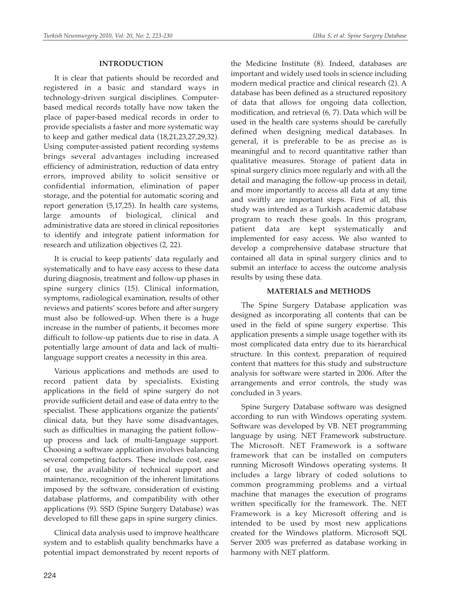## **INTRODUCTION**

It is clear that patients should be recorded and registered in a basic and standard ways in technology-driven surgical disciplines. Computerbased medical records totally have now taken the place of paper-based medical records in order to provide specialists a faster and more systematic way to keep and gather medical data (18,21,23,27,29,32). Using computer-assisted patient recording systems brings several advantages including increased efficiency of administration, reduction of data entry errors, improved ability to solicit sensitive or confidential information, elimination of paper storage, and the potential for automatic scoring and report generation (5,17,25). In health care systems, large amounts of biological, clinical and administrative data are stored in clinical repositories to identify and integrate patient information for research and utilization objectives (2, 22).

It is crucial to keep patients' data regularly and systematically and to have easy access to these data during diagnosis, treatment and follow-up phases in spine surgery clinics (15). Clinical information, symptoms, radiological examination, results of other reviews and patients' scores before and after surgery must also be followed-up. When there is a huge increase in the number of patients, it becomes more difficult to follow-up patients due to rise in data. A potentially large amount of data and lack of multilanguage support creates a necessity in this area.

Various applications and methods are used to record patient data by specialists. Existing applications in the field of spine surgery do not provide sufficient detail and ease of data entry to the specialist. These applications organize the patients' clinical data, but they have some disadvantages, such as difficulties in managing the patient followup process and lack of multi-language support. Choosing a software application involves balancing several competing factors. These include cost, ease of use, the availability of technical support and maintenance, recognition of the inherent limitations imposed by the software, consideration of existing database platforms, and compatibility with other applications (9). SSD (Spine Surgery Database) was developed to fill these gaps in spine surgery clinics.

Clinical data analysis used to improve healthcare system and to establish quality benchmarks have a potential impact demonstrated by recent reports of

the Medicine Institute (8). Indeed, databases are important and widely used tools in science including modern medical practice and clinical research (2). A database has been defined as a structured repository of data that allows for ongoing data collection, modification, and retrieval (6, 7). Data which will be used in the health care systems should be carefully defined when designing medical databases. In general, it is preferable to be as precise as is meaningful and to record quantitative rather than qualitative measures. Storage of patient data in spinal surgery clinics more regularly and with all the detail and managing the follow-up process in detail, and more importantly to access all data at any time and swiftly are important steps. First of all, this study was intended as a Turkish academic database program to reach these goals. In this program, patient data are kept systematically and implemented for easy access. We also wanted to develop a comprehensive database structure that contained all data in spinal surgery clinics and to submit an interface to access the outcome analysis results by using these data.

## **MATERIALS and METHODS**

The Spine Surgery Database application was designed as incorporating all contents that can be used in the field of spine surgery expertise. This application presents a simple usage together with its most complicated data entry due to its hierarchical structure. In this context, preparation of required content that matters for this study and substructure analysis for software were started in 2006. After the arrangements and error controls, the study was concluded in 3 years.

Spine Surgery Database software was designed according to run with Windows operating system. Software was developed by VB. NET programming language by using. NET Framework substructure. The Microsoft. NET Framework is a software framework that can be installed on computers running Microsoft Windows operating systems. It includes a large library of coded solutions to common programming problems and a virtual machine that manages the execution of programs written specifically for the framework. The. NET Framework is a key Microsoft offering and is intended to be used by most new applications created for the Windows platform. Microsoft SQL Server 2005 was preferred as database working in harmony with NET platform.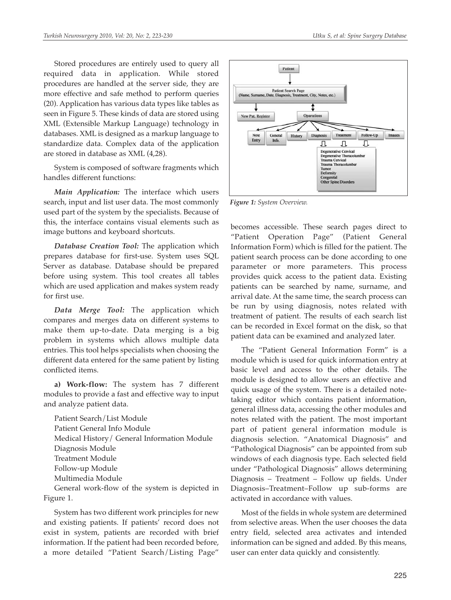Stored procedures are entirely used to query all required data in application. While stored procedures are handled at the server side, they are more effective and safe method to perform queries (20). Application has various data types like tables as seen in Figure 5. These kinds of data are stored using XML (Extensible Markup Language) technology in databases. XML is designed as a markup language to standardize data. Complex data of the application are stored in database as XML (4,28).

System is composed of software fragments which handles different functions:

*Main Application:* The interface which users search, input and list user data. The most commonly used part of the system by the specialists. Because of this, the interface contains visual elements such as image buttons and keyboard shortcuts.

*Database Creation Tool:* The application which prepares database for first-use. System uses SQL Server as database. Database should be prepared before using system. This tool creates all tables which are used application and makes system ready for first use.

*Data Merge Tool:* The application which compares and merges data on different systems to make them up-to-date. Data merging is a big problem in systems which allows multiple data entries. This tool helps specialists when choosing the different data entered for the same patient by listing conflicted items.

**a) Work-flow:** The system has 7 different modules to provide a fast and effective way to input and analyze patient data.

Patient Search/List Module Patient General Info Module Medical History/ General Information Module Diagnosis Module Treatment Module Follow-up Module Multimedia Module General work-flow of the system is depicted in

Figure 1.

System has two different work principles for new and existing patients. If patients' record does not exist in system, patients are recorded with brief information. If the patient had been recorded before, a more detailed "Patient Search/Listing Page"



*Figure 1: System Overview.*

becomes accessible. These search pages direct to "Patient Operation Page" (Patient General Information Form) which is filled for the patient. The patient search process can be done according to one parameter or more parameters. This process provides quick access to the patient data. Existing patients can be searched by name, surname, and arrival date. At the same time, the search process can be run by using diagnosis, notes related with treatment of patient. The results of each search list can be recorded in Excel format on the disk, so that patient data can be examined and analyzed later.

The "Patient General Information Form" is a module which is used for quick information entry at basic level and access to the other details. The module is designed to allow users an effective and quick usage of the system. There is a detailed notetaking editor which contains patient information, general illness data, accessing the other modules and notes related with the patient. The most important part of patient general information module is diagnosis selection. "Anatomical Diagnosis" and "Pathological Diagnosis" can be appointed from sub windows of each diagnosis type. Each selected field under "Pathological Diagnosis" allows determining Diagnosis – Treatment – Follow up fields. Under Diagnosis–Treatment–Follow up sub-forms are activated in accordance with values.

Most of the fields in whole system are determined from selective areas. When the user chooses the data entry field, selected area activates and intended information can be signed and added. By this means, user can enter data quickly and consistently.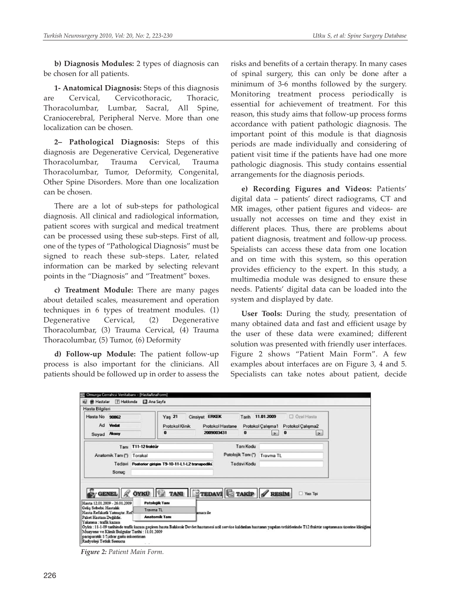**b) Diagnosis Modules:** 2 types of diagnosis can be chosen for all patients.

**1- Anatomical Diagnosis:** Steps of this diagnosis are Cervical, Cervicothoracic, Thoracic, Thoracolumbar, Lumbar, Sacral, All Spine, Craniocerebral, Peripheral Nerve. More than one localization can be chosen.

**2– Pathological Diagnosis:** Steps of this diagnosis are Degenerative Cervical, Degenerative Thoracolumbar, Trauma Cervical, Trauma Thoracolumbar, Tumor, Deformity, Congenital, Other Spine Disorders. More than one localization can be chosen.

There are a lot of sub-steps for pathological diagnosis. All clinical and radiological information, patient scores with surgical and medical treatment can be processed using these sub-steps. First of all, one of the types of "Pathological Diagnosis" must be signed to reach these sub-steps. Later, related information can be marked by selecting relevant points in the "Diagnosis" and "Treatment" boxes.

**c) Treatment Module:** There are many pages about detailed scales, measurement and operation techniques in 6 types of treatment modules. (1) Degenerative Cervical, (2) Degenerative Thoracolumbar, (3) Trauma Cervical, (4) Trauma Thoracolumbar, (5) Tumor, (6) Deformity

**d) Follow-up Module:** The patient follow-up process is also important for the clinicians. All patients should be followed up in order to assess the

risks and benefits of a certain therapy. In many cases of spinal surgery, this can only be done after a minimum of 3-6 months followed by the surgery. Monitoring treatment process periodically is essential for achievement of treatment. For this reason, this study aims that follow-up process forms accordance with patient pathologic diagnosis. The important point of this module is that diagnosis periods are made individually and considering of patient visit time if the patients have had one more pathologic diagnosis. This study contains essential arrangements for the diagnosis periods.

**e) Recording Figures and Videos:** Patients' digital data – patients' direct radiograms, CT and MR images, other patient figures and videos- are usually not accesses on time and they exist in different places. Thus, there are problems about patient diagnosis, treatment and follow-up process. Speialists can access these data from one location and on time with this system, so this operation provides efficiency to the expert. In this study, a multimedia module was designed to ensure these needs. Patients' digital data can be loaded into the system and displayed by date.

**User Tools:** During the study, presentation of many obtained data and fast and efficient usage by the user of these data were examined; different solution was presented with friendly user interfaces. Figure 2 shows "Patient Main Form". A few examples about interfaces are on Figure 3, 4 and 5. Specialists can take notes about patient, decide

|                                                   | Hasta Bilgileri                        |                                           |                                                                            |                                                      |                  |                              |                          |                   |               |  |
|---------------------------------------------------|----------------------------------------|-------------------------------------------|----------------------------------------------------------------------------|------------------------------------------------------|------------------|------------------------------|--------------------------|-------------------|---------------|--|
| Hasta No 90862                                    |                                        |                                           | □ Özel Hasta<br><b>Yas 21</b><br>Tarih 11.01.2009<br><b>Cinsiyet ERKEK</b> |                                                      |                  |                              |                          |                   |               |  |
| Ad Vedat                                          |                                        | Protokol Klinik                           |                                                                            |                                                      | Protokol Hastane | Protokol Çalışma1            |                          | Protokol Çalışma2 |               |  |
| Soyad Aksoy                                       |                                        |                                           | 0                                                                          | 2009003431                                           |                  | $\bf{0}$                     | $\overline{\phantom{a}}$ | $\bf{0}$          | $\rightarrow$ |  |
|                                                   | Tanı                                   | T11-12 fraktür                            |                                                                            |                                                      |                  | Tanı Kodu                    |                          |                   |               |  |
| Anatomik Tanı (*) Torakal                         |                                        |                                           |                                                                            |                                                      |                  | Patolojik Tanı (*) Trayma TL |                          |                   |               |  |
|                                                   | Sonuc                                  |                                           |                                                                            | Tedavi Posterior girisim T9-10-11-L1-L2 transpediki. | Tedavi Kodu      |                              |                          |                   |               |  |
|                                                   |                                        |                                           |                                                                            |                                                      |                  |                              |                          |                   | Yan Tipi      |  |
|                                                   |                                        |                                           |                                                                            |                                                      |                  |                              |                          |                   |               |  |
|                                                   | GENEL & ÖYKÜ TANI FIEDAVİ GTAKİP ARSIM |                                           |                                                                            |                                                      |                  |                              |                          |                   |               |  |
|                                                   | Hasta 12.01.2009 - 26.01.2009          | <b>Patolojik Tanı</b><br><b>Trayma TL</b> |                                                                            |                                                      |                  |                              |                          |                   |               |  |
| Gelis Sebebi: Hastalık<br>Paket Hastası Değildir. | Hasta Refakatli Yatmıştır. Ref         | <b>Anatomik Tanı</b>                      |                                                                            | amacı ile                                            |                  |                              |                          |                   |               |  |

*Figure 2: Patient Main Form.*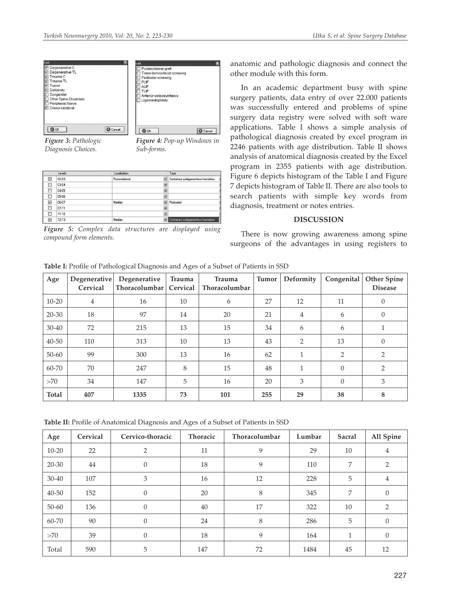

*Figure 3: Pathologic Diagnosis Choices.*

*Figure 4: Pop-up Windows in Sub-forms.*

**Q** Cancel

|                         | Levels  | Localization   |                      | Type                                |
|-------------------------|---------|----------------|----------------------|-------------------------------------|
| $\checkmark$            | $C2-C3$ | Posterolateral |                      | Contained subligamentous herniation |
| □                       | $C3-C4$ |                | Ÿ                    |                                     |
| Ω                       | C4-C5   |                | $\ddot{}$            |                                     |
| о                       | $C5-C6$ |                | $\ddot{\phantom{1}}$ |                                     |
| $\overline{\mathbf{v}}$ | C6-C7   | Median         |                      | Protrusion                          |
| □                       | $C7-T1$ |                | v.                   |                                     |
| п                       | $T1-T2$ |                | Y                    |                                     |
| $\overline{\mathbf{v}}$ | $T2-T3$ | Median         |                      | Contained subligamentous herniation |

*Figure 5: Complex data structures are displayed using compound form elements.*

anatomic and pathologic diagnosis and connect the other module with this form.

In an academic department busy with spine surgery patients, data entry of over 22.000 patients was successfully entered and problems of spine surgery data registry were solved with soft ware applications. Table I shows a simple analysis of pathological diagnosis created by excel program in 2246 patients with age distribution. Table II shows analysis of anatomical diagnosis created by the Excel program in 2355 patients with age distribution. Figure 6 depicts histogram of the Table I and Figure 7 depicts histogram of Table II. There are also tools to search patients with simple key words from diagnosis, treatment or notes entries.

#### **DISCUSSION**

There is now growing awareness among spine surgeons of the advantages in using registers to

|  |  | Table I: Profile of Pathological Diagnosis and Ages of a Subset of Patients in SSD |
|--|--|------------------------------------------------------------------------------------|
|  |  |                                                                                    |

| Age          | Degenerative<br>Cervical | Degenerative<br>Thoracolumbar | <b>Trauma</b><br>Cervical | Trauma<br>Thoracolumbar | <b>Tumor</b> | Deformity      | Congenital     | <b>Other Spine</b><br><b>Disease</b> |
|--------------|--------------------------|-------------------------------|---------------------------|-------------------------|--------------|----------------|----------------|--------------------------------------|
| $10 - 20$    | 4                        | 16                            | 10                        | 6                       | 27           | 12             | 11             | $\theta$                             |
| $20 - 30$    | 18                       | 97                            | 14                        | 20                      | 21           | $\overline{4}$ | 6              | $\theta$                             |
| $30 - 40$    | 72                       | 215                           | 13                        | 15                      | 34           | 6              | 6              |                                      |
| $40 - 50$    | 110                      | 313                           | 10                        | 13                      | 43           | $\overline{2}$ | 13             | $\theta$                             |
| $50 - 60$    | 99                       | 300                           | 13                        | 16                      | 62           |                | $\overline{2}$ | 2                                    |
| 60-70        | 70                       | 247                           | 8                         | 15                      | 48           | 1              | $\Omega$       | 2                                    |
| >70          | 34                       | 147                           | 5                         | 16                      | 20           | 3              | $\theta$       | 3                                    |
| <b>Total</b> | 407                      | 1335                          | 73                        | 101                     | 255          | 29             | 38             | 8                                    |

**Table II:** Profile of Anatomical Diagnosis and Ages of a Subset of Patients in SSD

| Age       | Cervical | Cervico-thoracic | Thoracic | Thoracolumbar | Lumbar | Sacral | All Spine      |
|-----------|----------|------------------|----------|---------------|--------|--------|----------------|
| $10 - 20$ | 22       | 2                | 11       | 9             | 29     | 10     | $\overline{4}$ |
| 20-30     | 44       | $\overline{0}$   | 18       | 9             | 110    | 7      | 2              |
| $30 - 40$ | 107      | 3                | 16       | 12            | 228    | 5      | 4              |
| $40 - 50$ | 152      | $\theta$         | 20       | 8             | 345    | 7      | $\mathbf{0}$   |
| $50 - 60$ | 136      | $\Omega$         | 40       | 17            | 322    | 10     | 2              |
| 60-70     | 90       | 0                | 24       | 8             | 286    | 5      | $\mathbf{0}$   |
| >70       | 39       | $\Omega$         | 18       | 9             | 164    | 1      | $\overline{0}$ |
| Total     | 590      | 5                | 147      | 72            | 1484   | 45     | 12             |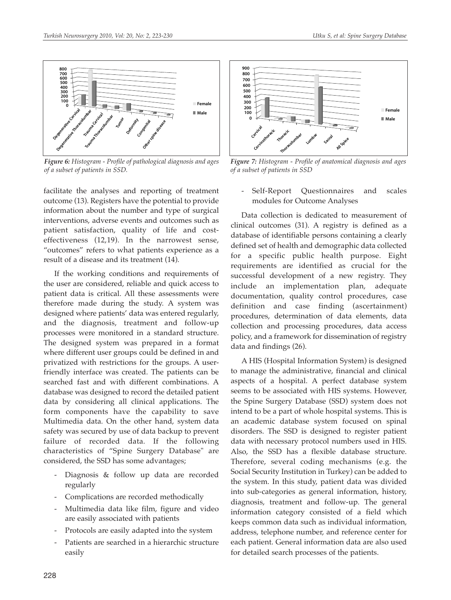

*Figure 6: Histogram - Profile of pathological diagnosis and ages of a subset of patients in SSD.*

facilitate the analyses and reporting of treatment outcome (13). Registers have the potential to provide information about the number and type of surgical interventions, adverse events and outcomes such as patient satisfaction, quality of life and costeffectiveness (12,19). In the narrowest sense, "outcomes" refers to what patients experience as a result of a disease and its treatment (14).

If the working conditions and requirements of the user are considered, reliable and quick access to patient data is critical. All these assessments were therefore made during the study. A system was designed where patients' data was entered regularly, and the diagnosis, treatment and follow-up processes were monitored in a standard structure. The designed system was prepared in a format where different user groups could be defined in and privatized with restrictions for the groups. A userfriendly interface was created. The patients can be searched fast and with different combinations. A database was designed to record the detailed patient data by considering all clinical applications. The form components have the capability to save Multimedia data. On the other hand, system data safety was secured by use of data backup to prevent failure of recorded data. If the following characteristics of "Spine Surgery Database" are considered, the SSD has some advantages;

- Diagnosis & follow up data are recorded regularly
- Complications are recorded methodically
- Multimedia data like film, figure and video are easily associated with patients
- Protocols are easily adapted into the system
- Patients are searched in a hierarchic structure easily



*Figure 7: Histogram - Profile of anatomical diagnosis and ages of a subset of patients in SSD*

- Self-Report Questionnaires and scales modules for Outcome Analyses

Data collection is dedicated to measurement of clinical outcomes (31). A registry is defined as a database of identifiable persons containing a clearly defined set of health and demographic data collected for a specific public health purpose. Eight requirements are identified as crucial for the successful development of a new registry. They include an implementation plan, adequate documentation, quality control procedures, case definition and case finding (ascertainment) procedures, determination of data elements, data collection and processing procedures, data access policy, and a framework for dissemination of registry data and findings (26).

A HIS (Hospital Information System) is designed to manage the administrative, financial and clinical aspects of a hospital. A perfect database system seems to be associated with HIS systems. However, the Spine Surgery Database (SSD) system does not intend to be a part of whole hospital systems. This is an academic database system focused on spinal disorders. The SSD is designed to register patient data with necessary protocol numbers used in HIS. Also, the SSD has a flexible database structure. Therefore, several coding mechanisms (e.g. the Social Security Institution in Turkey) can be added to the system. In this study, patient data was divided into sub-categories as general information, history, diagnosis, treatment and follow-up. The general information category consisted of a field which keeps common data such as individual information, address, telephone number, and reference center for each patient. General information data are also used for detailed search processes of the patients.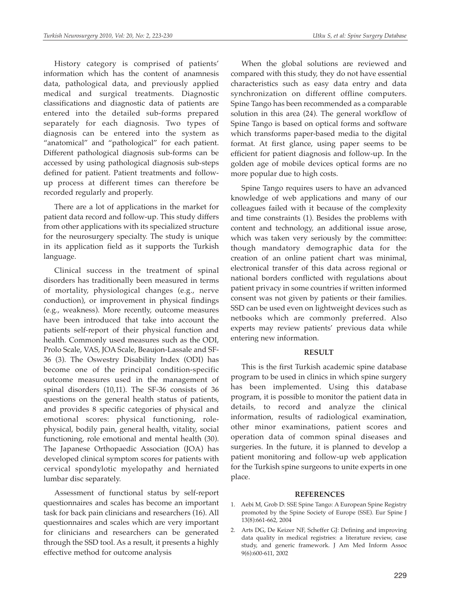History category is comprised of patients' information which has the content of anamnesis data, pathological data, and previously applied medical and surgical treatments. Diagnostic classifications and diagnostic data of patients are entered into the detailed sub-forms prepared separately for each diagnosis. Two types of diagnosis can be entered into the system as "anatomical" and "pathological" for each patient. Different pathological diagnosis sub-forms can be accessed by using pathological diagnosis sub-steps defined for patient. Patient treatments and followup process at different times can therefore be recorded regularly and properly.

There are a lot of applications in the market for patient data record and follow-up. This study differs from other applications with its specialized structure for the neurosurgery specialty. The study is unique in its application field as it supports the Turkish language.

Clinical success in the treatment of spinal disorders has traditionally been measured in terms of mortality, physiological changes (e.g., nerve conduction), or improvement in physical findings (e.g., weakness). More recently, outcome measures have been introduced that take into account the patients self-report of their physical function and health. Commonly used measures such as the ODI, Prolo Scale, VAS, JOA Scale, Beaujon-Lassale and SF-36 (3). The Oswestry Disability Index (ODI) has become one of the principal condition-specific outcome measures used in the management of spinal disorders (10,11). The SF-36 consists of 36 questions on the general health status of patients, and provides 8 specific categories of physical and emotional scores: physical functioning, rolephysical, bodily pain, general health, vitality, social functioning, role emotional and mental health (30). The Japanese Orthopaedic Association (JOA) has developed clinical symptom scores for patients with cervical spondylotic myelopathy and herniated lumbar disc separately.

Assessment of functional status by self-report questionnaires and scales has become an important task for back pain clinicians and researchers (16). All questionnaires and scales which are very important for clinicians and researchers can be generated through the SSD tool. As a result, it presents a highly effective method for outcome analysis

When the global solutions are reviewed and compared with this study, they do not have essential characteristics such as easy data entry and data synchronization on different offline computers. Spine Tango has been recommended as a comparable solution in this area (24). The general workflow of Spine Tango is based on optical forms and software which transforms paper-based media to the digital format. At first glance, using paper seems to be efficient for patient diagnosis and follow-up. In the golden age of mobile devices optical forms are no more popular due to high costs.

Spine Tango requires users to have an advanced knowledge of web applications and many of our colleagues failed with it because of the complexity and time constraints (1). Besides the problems with content and technology, an additional issue arose, which was taken very seriously by the committee: though mandatory demographic data for the creation of an online patient chart was minimal, electronical transfer of this data across regional or national borders conflicted with regulations about patient privacy in some countries if written informed consent was not given by patients or their families. SSD can be used even on lightweight devices such as netbooks which are commonly preferred. Also experts may review patients' previous data while entering new information.

#### **RESULT**

This is the first Turkish academic spine database program to be used in clinics in which spine surgery has been implemented. Using this database program, it is possible to monitor the patient data in details, to record and analyze the clinical information, results of radiological examination, other minor examinations, patient scores and operation data of common spinal diseases and surgeries. In the future, it is planned to develop a patient monitoring and follow-up web application for the Turkish spine surgeons to unite experts in one place.

#### **REFERENCES**

- 1. Aebi M, Grob D: SSE Spine Tango: A European Spine Registry promoted by the Spine Society of Europe (SSE). Eur Spine J 13(8):661-662, 2004
- 2. Arts DG, De Keizer NF, Scheffer GJ: Defining and improving data quality in medical registries: a literature review, case study, and generic framework. J Am Med Inform Assoc 9(6):600-611, 2002